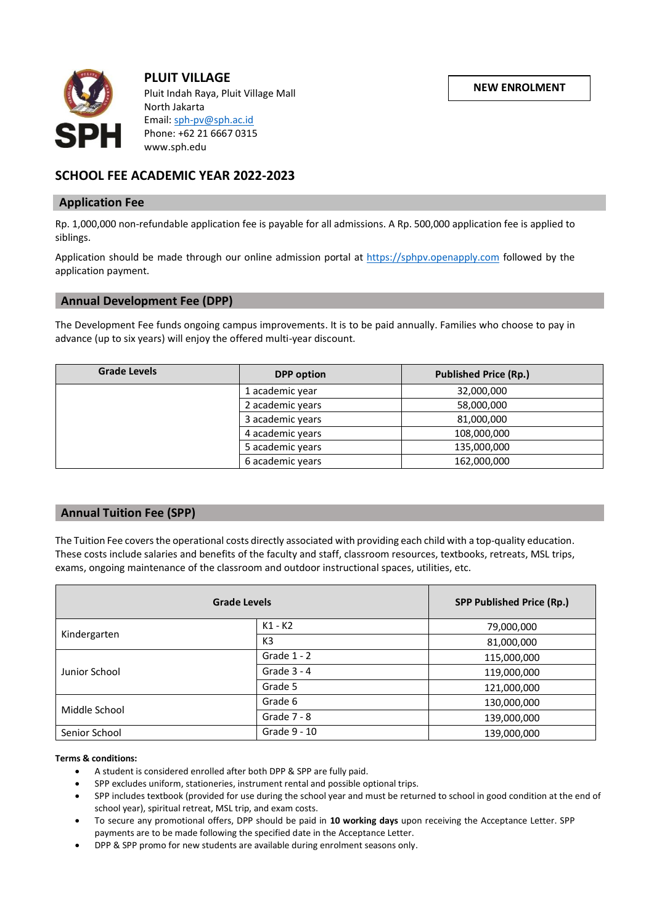

**PLUIT VILLAGE** Pluit Indah Raya, Pluit Village Mall North Jakarta Email[: sph-pv@sph.ac.id](mailto:sph-pv@sph.ac.id) Phone: +62 21 6667 0315 www.sph.edu

# **SCHOOL FEE ACADEMIC YEAR 2022-2023**

### **Application Fee**

Rp. 1,000,000 non-refundable application fee is payable for all admissions. A Rp. 500,000 application fee is applied to siblings.

Application should be made through our online admission portal at [https://sphpv.openapply.com](https://sphpv.openapply.com/) followed by the application payment.

# **Annual Development Fee (DPP)**

The Development Fee funds ongoing campus improvements. It is to be paid annually. Families who choose to pay in advance (up to six years) will enjoy the offered multi-year discount.

| <b>Grade Levels</b> | <b>DPP</b> option | <b>Published Price (Rp.)</b> |
|---------------------|-------------------|------------------------------|
|                     | 1 academic year   | 32,000,000                   |
|                     | 2 academic years  | 58,000,000                   |
|                     | 3 academic years  | 81,000,000                   |
|                     | 4 academic years  | 108,000,000                  |
|                     | 5 academic years  | 135,000,000                  |
|                     | 6 academic years  | 162,000,000                  |

# **Annual Tuition Fee (SPP)**

The Tuition Fee covers the operational costs directly associated with providing each child with a top-quality education. These costs include salaries and benefits of the faculty and staff, classroom resources, textbooks, retreats, MSL trips, exams, ongoing maintenance of the classroom and outdoor instructional spaces, utilities, etc.

| <b>Grade Levels</b> |               | <b>SPP Published Price (Rp.)</b> |
|---------------------|---------------|----------------------------------|
| Kindergarten        | $K1 - K2$     | 79,000,000                       |
|                     | K3            | 81,000,000                       |
| Junior School       | Grade $1 - 2$ | 115,000,000                      |
|                     | Grade $3 - 4$ | 119,000,000                      |
|                     | Grade 5       | 121,000,000                      |
| Middle School       | Grade 6       | 130,000,000                      |
|                     | Grade $7 - 8$ | 139,000,000                      |
| Senior School       | Grade 9 - 10  | 139,000,000                      |

#### **Terms & conditions:**

- A student is considered enrolled after both DPP & SPP are fully paid.
- SPP excludes uniform, stationeries, instrument rental and possible optional trips.
- SPP includes textbook (provided for use during the school year and must be returned to school in good condition at the end of school year), spiritual retreat, MSL trip, and exam costs.
- To secure any promotional offers, DPP should be paid in **10 working days** upon receiving the Acceptance Letter. SPP payments are to be made following the specified date in the Acceptance Letter.
- DPP & SPP promo for new students are available during enrolment seasons only.